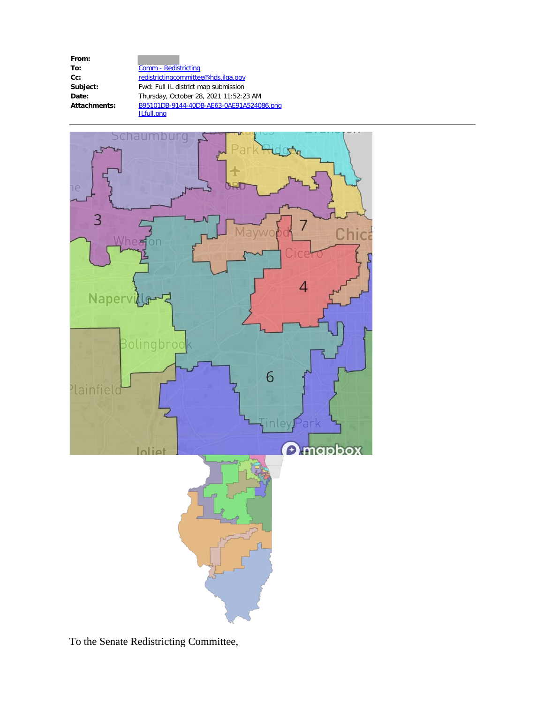**From:**

**To:** Comm - Redistricting Cc: [redistrictingcommittee@hds.ilga.gov](mailto:redistrictingcommittee@hds.ilga.gov) Subject: Fwd: Full IL district map submission **Date:** Thursday, October 28, 2021 11:52:23 AM **Attachments:** B95101DB-9144-40DB-AE63-0AE91A524086.png ILfull.png



To the Senate Redistricting Committee,